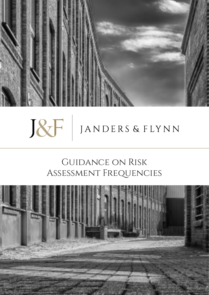

# BF JANDERS & FLYNN

## Guidance on Risk Assessment Frequencies

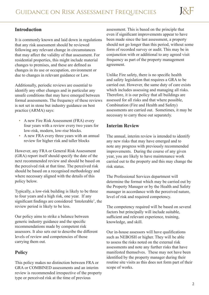#### **Introduction**

It is commonly known and laid down in regulations that any risk assessment should be reviewed following any relevant change in circumstances that may affect the validity of that assessment. For residential properties, this might include material changes to premises, and these are defined as changes in its use or occupation, environment or due to changes in relevant guidance or Law.

Additionally, periodic reviews are essential to identify any other changes and in particular any unsafe conditions that may have emerged between formal assessments. The frequency of these reviews is not set in stone but industry guidance on best practice (ARMA) says:

- **A new Fire Risk Assessment (FRA) every** four years with a review every two years for low-risk, modern, low-rise blocks.
- A new FRA every three years with an annual review for higher risk and taller blocks

However, any FRA or General Risk Assessment (GRA) report itself should specify the date of the next recommended review and should be based on the perceived risk at that time. The perceived risk should be based on a recognised methodology and where necessary aligned with the details of this policy below.

Typically, a low-risk building is likely to be three to four years and a high risk, one year. If any significant findings are considered 'Intolerable', the review period is likely to be less.

Our policy aims to strike a balance between generic industry guidance and the specific recommendations made by competent risk assessors. It also sets out to describe the different levels of review and competencies of those carrying them out.

### **Policy**

This policy makes no distinction between FRA or GRA or COMBINED assessments and an interim review is recommended irrespective of the property type or perceived risk at the time of previous

assessment. This is based on the principle that even if significant improvements appear to have been made since the last assessment, a property should not go longer than this period, without some form of recorded survey or audit. This may be in conjunction with or additional to any agreed visit frequency as part of the property management agreement.

Unlike Fire safety, there is no specific health and safety legislation that requires a GRA to be carried out. However, the same duty of care exists which includes assessing and managing all risks. Therefore, it is our policy that all buildings are assessed for all risks and that where possible, Combination (Fire and Health and Safety) assessments are carried out. Sometimes, it may be necessary to carry these out separately.

#### **Interim Review**

The annual, interim review is intended to identify any new risks that may have emerged and to note any progress with previously recommended improvements. During the course of any given year, you are likely to have maintenance work carried out to the property and this may change the risk status.

The Professional Services department will determine the format which may be carried out by the Property Manager or by the Health and Safety manager in accordance with the perceived nature, level of risk and required competency.

The competency required will be based on several factors but principally will include suitable, sufficient and relevant experience, training, knowledge, and skill.

Our in-house assessors will have qualifications such as NEBOSH or higher. They will be able to assess the risks noted on the external risk assessments and note any further risks that have manifested themselves. These may not have been identified by the property manager during their routine site visits as this does not form part of their scope of works.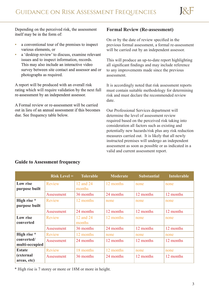Depending on the perceived risk, the assessment itself may be in the form of:

- a conventional tour of the premises to inspect various elements, or
- **a** 'desktop review' to discuss, examine relevant issues and to inspect information, records. This may also include an interactive video survey between site contact and assessor and or photographs as required.

A report will be produced with an overall risk rating which will require validation by the next full re-assessment by an independent assessor.

A Formal review or re-assessment will be carried out in lieu of an annual assessment if this becomes due. See frequency table below.

#### **Formal Review (Re-assessment)**

On or by the date of review specified in the previous formal assessment, a formal re-assessment will be carried out by an independent assessor.

This will produce an up-to-date report highlighting all significant findings and may include reference to any improvements made since the previous assessment.

It is accordingly noted that risk assessment reports must contain suitable methodology for determining risk and must declare the recommended review date.

Our Professional Services department will determine the level of assessment review required based on the perceived risk taking into consideration all factors such as existing and potentially new hazards/risk plus any risk reduction measures carried out. It is likely that all newly instructed premises will undergo an independent assessment as soon as possible or as indicated in a valid and current assessment report.

|                              | $Risk Level =$ | <b>Tolerable</b>    | <b>Moderate</b> | <b>Substantial</b> | <b>Intolerable</b> |
|------------------------------|----------------|---------------------|-----------------|--------------------|--------------------|
| Low rise<br>purpose built    | Review         | 12 and 24<br>months | 12 months       | none               | none               |
|                              | Assessment     | 36 months           | 24 months       | 12 months          | 12 months          |
| High rise *<br>purpose built | <b>Review</b>  | 12 months           | none            | none               | none               |
|                              | Assessment     | 24 months           | 12 months       | 12 months          | 12 months          |
| Low rise<br>converted        | <b>Review</b>  | 12 and 24<br>months | 12 months       | none               | none               |
|                              | Assessment     | 36 months           | 24 months       | 12 months          | 12 months          |
| High rise *                  | <b>Review</b>  | 12 months           | none            | none               | none               |
| converted/<br>multi-occupied | Assessment     | 24 months           | 12 months       | 12 months          | 12 months          |
| <b>Estate</b>                | Review         | 18 months           | 12 months       | none               | none               |
| (external<br>areas, etc)     | Assessment     | 36 months           | 24 months       | 12 months          | 12 months          |

#### **Guide to Assessment frequency**

\* High rise is 7 storey or more or 18M or more in height.